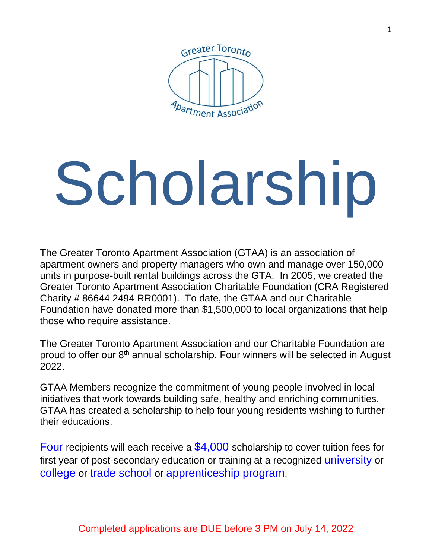

# Scholarship

The Greater Toronto Apartment Association (GTAA) is an association of apartment owners and property managers who own and manage over 150,000 units in purpose-built rental buildings across the GTA. In 2005, we created the Greater Toronto Apartment Association Charitable Foundation (CRA Registered Charity # 86644 2494 RR0001). To date, the GTAA and our Charitable Foundation have donated more than \$1,500,000 to local organizations that help those who require assistance.

The Greater Toronto Apartment Association and our Charitable Foundation are proud to offer our 8<sup>th</sup> annual scholarship. Four winners will be selected in August 2022.

GTAA Members recognize the commitment of young people involved in local initiatives that work towards building safe, healthy and enriching communities. GTAA has created a scholarship to help four young residents wishing to further their educations.

Four recipients will each receive a  $$4,000$  scholarship to cover tuition fees for first year of post-secondary education or training at a recognized university or college or trade school or apprenticeship program.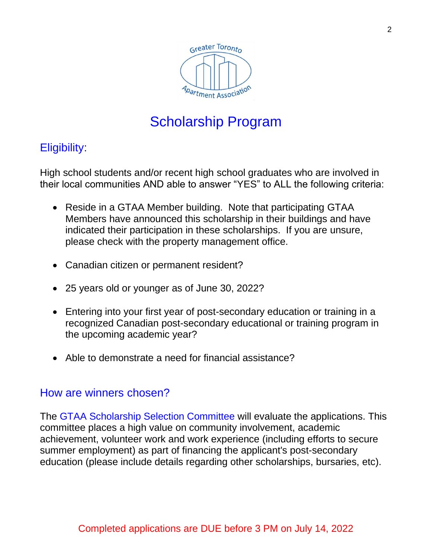

### Eligibility:

High school students and/or recent high school graduates who are involved in their local communities AND able to answer "YES" to ALL the following criteria:

- Reside in a GTAA Member building. Note that participating GTAA Members have announced this scholarship in their buildings and have indicated their participation in these scholarships. If you are unsure, please check with the property management office.
- Canadian citizen or permanent resident?
- 25 years old or younger as of June 30, 2022?
- Entering into your first year of post-secondary education or training in a recognized Canadian post-secondary educational or training program in the upcoming academic year?
- Able to demonstrate a need for financial assistance?

#### How are winners chosen?

The GTAA Scholarship Selection Committee will evaluate the applications. This committee places a high value on community involvement, academic achievement, volunteer work and work experience (including efforts to secure summer employment) as part of financing the applicant's post-secondary education (please include details regarding other scholarships, bursaries, etc).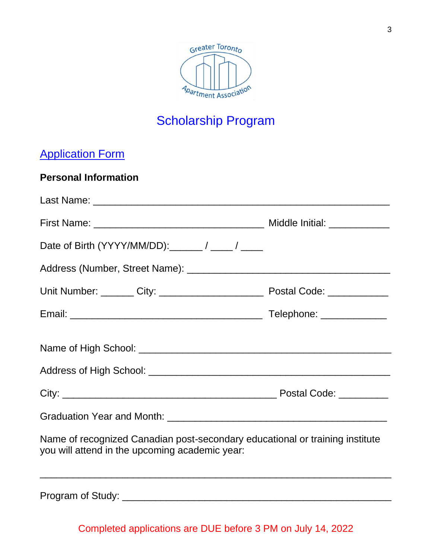

## **Application Form**

#### **Personal Information**

| Date of Birth (YYYY/MM/DD): _______ / _____ / _____                                                                            |                          |  |  |
|--------------------------------------------------------------------------------------------------------------------------------|--------------------------|--|--|
|                                                                                                                                |                          |  |  |
|                                                                                                                                |                          |  |  |
|                                                                                                                                | Telephone: _____________ |  |  |
|                                                                                                                                |                          |  |  |
|                                                                                                                                |                          |  |  |
|                                                                                                                                |                          |  |  |
| Name of recognized Canadian post-secondary educational or training institute<br>you will attend in the upcoming academic year: |                          |  |  |
|                                                                                                                                |                          |  |  |

Completed applications are DUE before 3 PM on July 14, 2022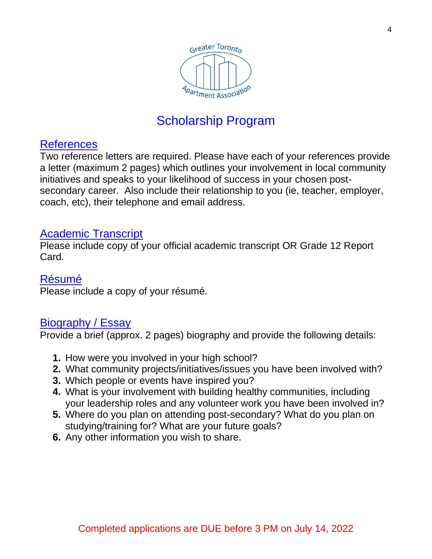

#### **References**

Two reference letters are required. Please have each of your references provide a letter (maximum 2 pages) which outlines your involvement in local community initiatives and speaks to your likelihood of success in your chosen postsecondary career. Also include their relationship to you (ie, teacher, employer, coach, etc), their telephone and email address.

#### Academic Transcript

Please include copy of your official academic transcript OR Grade 12 Report Card.

#### Résumé

Please include a copy of your résumé.

#### Biography / Essay

Provide a brief (approx. 2 pages) biography and provide the following details:

- **1.** How were you involved in your high school?
- **2.** What community projects/initiatives/issues you have been involved with?
- **3.** Which people or events have inspired you?
- **4.** What is your involvement with building healthy communities, including your leadership roles and any volunteer work you have been involved in?
- **5.** Where do you plan on attending post-secondary? What do you plan on studying/training for? What are your future goals?
- **6.** Any other information you wish to share.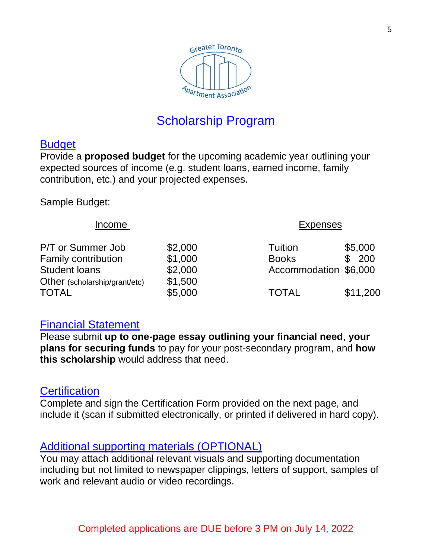

#### **Budget**

Provide a **proposed budget** for the upcoming academic year outlining your expected sources of income (e.g. student loans, earned income, family contribution, etc.) and your projected expenses.

Sample Budget:

| Income                        |         | <b>Expenses</b>       |          |
|-------------------------------|---------|-----------------------|----------|
| P/T or Summer Job             | \$2,000 | <b>Tuition</b>        | \$5,000  |
| <b>Family contribution</b>    | \$1,000 | <b>Books</b>          | \$ 200   |
| <b>Student loans</b>          | \$2,000 | Accommodation \$6,000 |          |
| Other (scholarship/grant/etc) | \$1,500 |                       |          |
| TOTAL                         | \$5,000 | <b>TOTAL</b>          | \$11,200 |

#### Financial Statement

Please submit **up to one-page essay outlining your financial need**, **your plans for securing funds** to pay for your post-secondary program, and **how this scholarship** would address that need.

#### **Certification**

Complete and sign the Certification Form provided on the next page, and include it (scan if submitted electronically, or printed if delivered in hard copy).

#### Additional supporting materials (OPTIONAL)

You may attach additional relevant visuals and supporting documentation including but not limited to newspaper clippings, letters of support, samples of work and relevant audio or video recordings.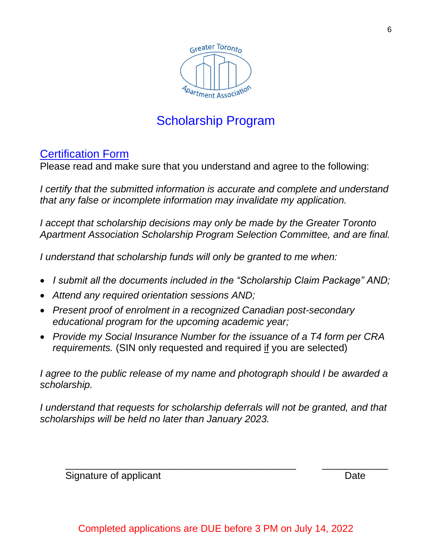

#### Certification Form

Please read and make sure that you understand and agree to the following:

*I certify that the submitted information is accurate and complete and understand that any false or incomplete information may invalidate my application.* 

*I* accept that scholarship decisions may only be made by the Greater Toronto *Apartment Association Scholarship Program Selection Committee, and are final.* 

*I understand that scholarship funds will only be granted to me when:*

- *I submit all the documents included in the "Scholarship Claim Package" AND;*
- *Attend any required orientation sessions AND;*
- *Present proof of enrolment in a recognized Canadian post-secondary educational program for the upcoming academic year;*
- *Provide my Social Insurance Number for the issuance of a T4 form per CRA requirements.* (SIN only requested and required if you are selected)

*I agree to the public release of my name and photograph should I be awarded a scholarship.* 

*I understand that requests for scholarship deferrals will not be granted, and that scholarships will be held no later than January 2023.* 

\_\_\_\_\_\_\_\_\_\_\_\_\_\_\_\_\_\_\_\_\_\_\_\_\_\_\_\_\_\_\_\_\_\_\_\_\_\_\_\_\_\_ \_\_\_\_\_\_\_\_\_\_\_\_

Signature of applicant **Date** 

6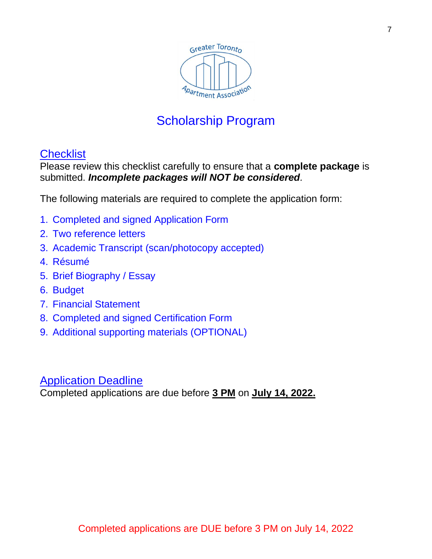

#### **Checklist**

Please review this checklist carefully to ensure that a **complete package** is submitted. *Incomplete packages will NOT be considered.* 

The following materials are required to complete the application form:

- 1. Completed and signed Application Form
- 2. Two reference letters
- 3. Academic Transcript (scan/photocopy accepted)
- 4. Résumé
- 5. Brief Biography / Essay
- 6. Budget
- 7. Financial Statement
- 8. Completed and signed Certification Form
- 9. Additional supporting materials (OPTIONAL)

#### Application Deadline

Completed applications are due before **3 PM** on **July 14, 2022.**